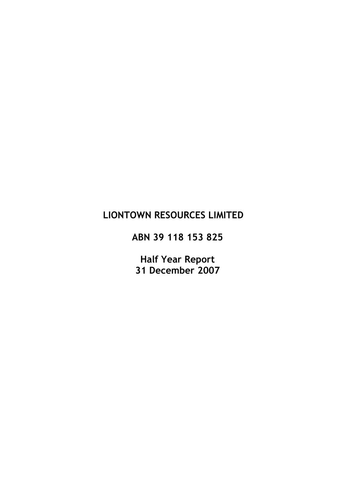# LIONTOWN RESOURCES LIMITED

ABN 39 118 153 825

Half Year Report 31 December 2007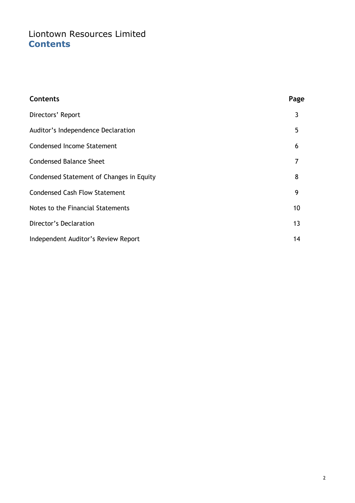# Liontown Resources Limited **Contents**

| <b>Contents</b>                          | Page |
|------------------------------------------|------|
| Directors' Report                        | 3    |
| Auditor's Independence Declaration       | 5    |
| <b>Condensed Income Statement</b>        | 6    |
| <b>Condensed Balance Sheet</b>           | 7    |
| Condensed Statement of Changes in Equity | 8    |
| <b>Condensed Cash Flow Statement</b>     | 9    |
| Notes to the Financial Statements        | 10   |
| Director's Declaration                   | 13   |
| Independent Auditor's Review Report      | 14   |
|                                          |      |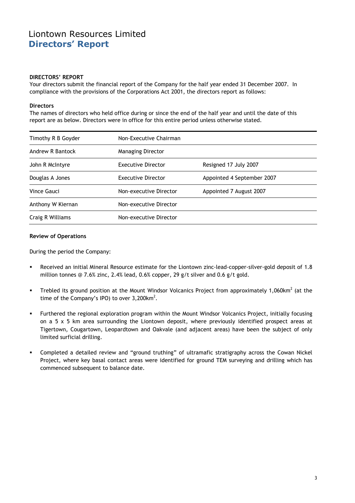# Liontown Resources Limited Directors' Report

#### DIRECTORS' REPORT

Your directors submit the financial report of the Company for the half year ended 31 December 2007. In compliance with the provisions of the Corporations Act 2001, the directors report as follows:

#### **Directors**

The names of directors who held office during or since the end of the half year and until the date of this report are as below. Directors were in office for this entire period unless otherwise stated.

| Timothy R B Goyder | Non-Executive Chairman    |                            |
|--------------------|---------------------------|----------------------------|
| Andrew R Bantock   | <b>Managing Director</b>  |                            |
| John R McIntyre    | <b>Executive Director</b> | Resigned 17 July 2007      |
| Douglas A Jones    | <b>Executive Director</b> | Appointed 4 September 2007 |
| Vince Gauci        | Non-executive Director    | Appointed 7 August 2007    |
| Anthony W Kiernan  | Non-executive Director    |                            |
| Craig R Williams   | Non-executive Director    |                            |

#### Review of Operations

During the period the Company:

- Received an initial Mineral Resource estimate for the Liontown zinc-lead-copper-silver-gold deposit of 1.8 million tonnes @ 7.6% zinc, 2.4% lead, 0.6% copper, 29 g/t silver and 0.6 g/t gold.
- Trebled its ground position at the Mount Windsor Volcanics Project from approximately 1,060km<sup>2</sup> (at the time of the Company's IPO) to over  $3,200$ km<sup>2</sup>.
- Furthered the regional exploration program within the Mount Windsor Volcanics Project, initially focusing on a 5 x 5 km area surrounding the Liontown deposit, where previously identified prospect areas at Tigertown, Cougartown, Leopardtown and Oakvale (and adjacent areas) have been the subject of only limited surficial drilling.
- Completed a detailed review and "ground truthing" of ultramafic stratigraphy across the Cowan Nickel Project, where key basal contact areas were identified for ground TEM surveying and drilling which has commenced subsequent to balance date.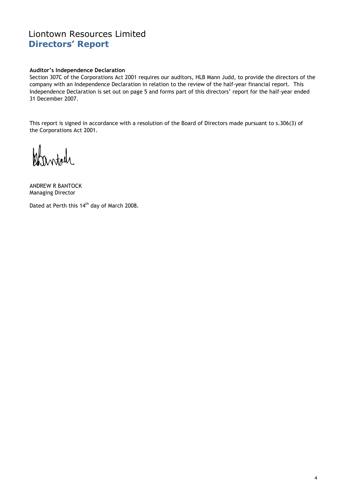# Liontown Resources Limited Directors' Report

### Auditor's Independence Declaration

Section 307C of the Corporations Act 2001 requires our auditors, HLB Mann Judd, to provide the directors of the company with an Independence Declaration in relation to the review of the half-year financial report. This Independence Declaration is set out on page 5 and forms part of this directors' report for the half-year ended 31 December 2007.

This report is signed in accordance with a resolution of the Board of Directors made pursuant to s.306(3) of the Corporations Act 2001.

W nortale

ANDREW R BANTOCK Managing Director

Dated at Perth this 14<sup>th</sup> day of March 2008.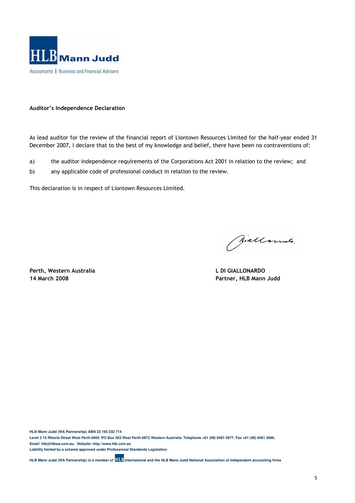

### Auditor's Independence Declaration

As lead auditor for the review of the financial report of Liontown Resources Limited for the half-year ended 31 December 2007, I declare that to the best of my knowledge and belief, there have been no contraventions of:

- a) the auditor independence requirements of the Corporations Act 2001 in relation to the review; and
- b) any applicable code of professional conduct in relation to the review.

This declaration is in respect of Liontown Resources Limited.

Perth, Western Australia and a control of the United States of L DI GIALLONARDO

Wallammer.

14 March 2008 Partner, HLB Mann Judd

**HLB Mann Judd (WA Partnership) ABN 22 193 232 714 Level 2 15 Rheola Street West Perth 6005 PO Box 263 West Perth 6872 Western Australia. Telephone +61 (08) 9481 0977. Fax +61 (08) 9481 3686. Email: hlb@hlbwa.com.au. Website: http://www.hlb.com.au** 

**Liability limited by a scheme approved under Professional Standards Legislation** 

**HLB Mann Judd (WA Partnership) is a member of <b>HLB** International and the HLB Mann Judd National Association of independent accounting firms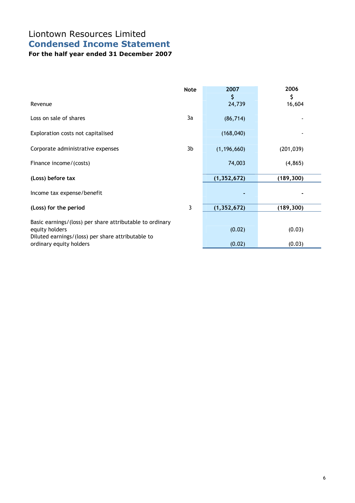# Liontown Resources Limited Condensed Income Statement

For the half year ended 31 December 2007

|                                                                                                                                 | <b>Note</b> | 2007          | 2006         |
|---------------------------------------------------------------------------------------------------------------------------------|-------------|---------------|--------------|
| Revenue                                                                                                                         |             | \$<br>24,739  | \$<br>16,604 |
| Loss on sale of shares                                                                                                          | 3a          | (86, 714)     |              |
| Exploration costs not capitalised                                                                                               |             | (168, 040)    |              |
| Corporate administrative expenses                                                                                               | 3b          | (1, 196, 660) | (201, 039)   |
| Finance income/(costs)                                                                                                          |             | 74,003        | (4, 865)     |
| (Loss) before tax                                                                                                               |             | (1, 352, 672) | (189, 300)   |
| Income tax expense/benefit                                                                                                      |             |               |              |
| (Loss) for the period                                                                                                           | 3           | (1, 352, 672) | (189, 300)   |
| Basic earnings/(loss) per share attributable to ordinary<br>equity holders<br>Diluted earnings/(loss) per share attributable to |             | (0.02)        | (0.03)       |
| ordinary equity holders                                                                                                         |             | (0.02)        | (0.03)       |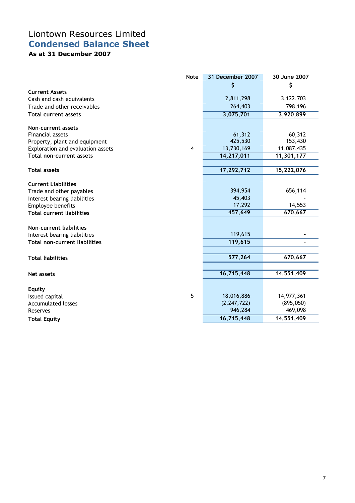# Liontown Resources Limited Condensed Balance Sheet

As at 31 December 2007

|                                      | <b>Note</b> | 31 December 2007 | 30 June 2007 |
|--------------------------------------|-------------|------------------|--------------|
|                                      |             | \$               | \$           |
| <b>Current Assets</b>                |             |                  |              |
| Cash and cash equivalents            |             | 2,811,298        | 3,122,703    |
| Trade and other receivables          |             | 264,403          | 798,196      |
| <b>Total current assets</b>          |             | 3,075,701        | 3,920,899    |
| Non-current assets                   |             |                  |              |
| Financial assets                     |             | 61,312           | 60,312       |
| Property, plant and equipment        |             | 425,530          | 153,430      |
| Exploration and evaluation assets    | 4           | 13,730,169       | 11,087,435   |
| <b>Total non-current assets</b>      |             | 14,217,011       | 11,301,177   |
|                                      |             |                  |              |
| <b>Total assets</b>                  |             | 17,292,712       | 15,222,076   |
|                                      |             |                  |              |
| <b>Current Liabilities</b>           |             |                  |              |
| Trade and other payables             |             | 394,954          | 656,114      |
| Interest bearing liabilities         |             | 45,403           |              |
| Employee benefits                    |             | 17,292           | 14,553       |
| <b>Total current liabilities</b>     |             | 457,649          | 670,667      |
| Non-current liabilities              |             |                  |              |
| Interest bearing liabilities         |             | 119,615          |              |
| <b>Total non-current liabilities</b> |             | 119,615          |              |
|                                      |             |                  |              |
| <b>Total liabilities</b>             |             | 577,264          | 670,667      |
|                                      |             |                  |              |
| <b>Net assets</b>                    |             | 16,715,448       | 14,551,409   |
| <b>Equity</b>                        |             |                  |              |
| Issued capital                       | 5           | 18,016,886       | 14,977,361   |
| <b>Accumulated losses</b>            |             | (2, 247, 722)    | (895,050)    |
| Reserves                             |             | 946,284          | 469,098      |
| <b>Total Equity</b>                  |             | 16,715,448       | 14,551,409   |
|                                      |             |                  |              |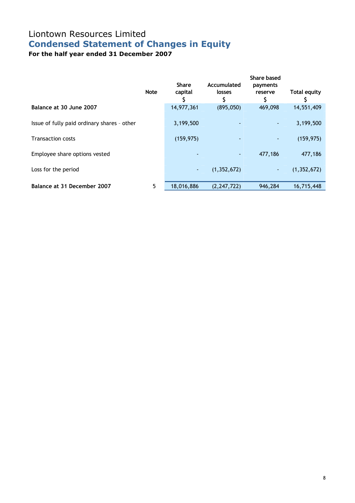# Liontown Resources Limited Condensed Statement of Changes in Equity

For the half year ended 31 December 2007

|                                             | <b>Note</b>     | <b>Share</b><br>capital | Accumulated<br>losses | Share based<br>payments<br>reserve<br>S | Total equity  |
|---------------------------------------------|-----------------|-------------------------|-----------------------|-----------------------------------------|---------------|
| Balance at 30 June 2007                     |                 | 14,977,361              | (895,050)             | 469,098                                 | 14,551,409    |
| Issue of fully paid ordinary shares - other |                 | 3,199,500               |                       | -                                       | 3,199,500     |
| <b>Transaction costs</b>                    |                 | (159, 975)              |                       |                                         | (159, 975)    |
| Employee share options vested               |                 |                         | ٠                     | 477,186                                 | 477,186       |
| Loss for the period                         |                 | ٠                       | (1, 352, 672)         | ٠                                       | (1, 352, 672) |
| Balance at 31 December 2007                 | $5\phantom{.0}$ | 18,016,886              | (2, 247, 722)         | 946,284                                 | 16,715,448    |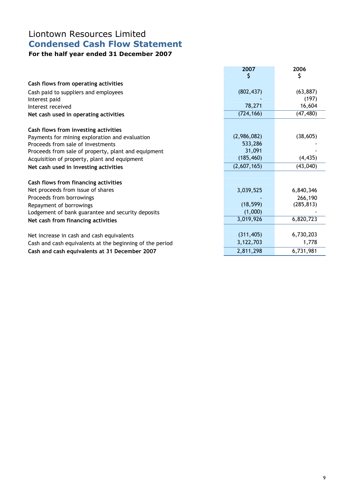# Liontown Resources Limited Condensed Cash Flow Statement

# For the half year ended 31 December 2007

|                                                          | 2007        | 2006       |
|----------------------------------------------------------|-------------|------------|
|                                                          |             | Ş          |
| Cash flows from operating activities                     |             |            |
| Cash paid to suppliers and employees                     | (802, 437)  | (63, 887)  |
| Interest paid                                            |             | (197)      |
| Interest received                                        | 78,271      | 16,604     |
| Net cash used in operating activities                    | (724, 166)  | (47, 480)  |
| Cash flows from investing activities                     |             |            |
| Payments for mining exploration and evaluation           | (2,986,082) | (38, 605)  |
| Proceeds from sale of investments                        | 533,286     |            |
| Proceeds from sale of property, plant and equipment      | 31,091      |            |
| Acquisition of property, plant and equipment             | (185, 460)  | (4, 435)   |
| Net cash used in investing activities                    | (2,607,165) | (43,040)   |
|                                                          |             |            |
| Cash flows from financing activities                     |             |            |
| Net proceeds from issue of shares                        | 3,039,525   | 6,840,346  |
| Proceeds from borrowings                                 |             | 266,190    |
| Repayment of borrowings                                  | (18, 599)   | (285, 813) |
| Lodgement of bank guarantee and security deposits        | (1,000)     |            |
| Net cash from financing activities                       | 3,019,926   | 6,820,723  |
|                                                          |             |            |
| Net increase in cash and cash equivalents                | (311, 405)  | 6,730,203  |
| Cash and cash equivalents at the beginning of the period | 3,122,703   | 1,778      |
| Cash and cash equivalents at 31 December 2007            | 2,811,298   | 6,731,981  |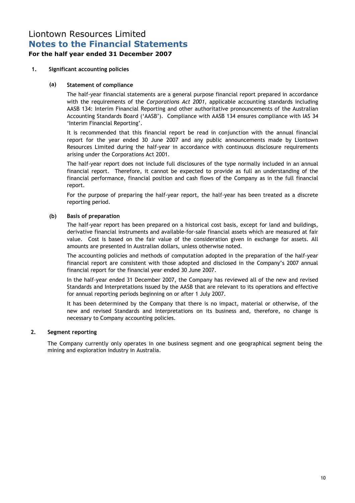# Liontown Resources Limited Notes to the Financial Statements

## For the half year ended 31 December 2007

## 1. Significant accounting policies

## (a) Statement of compliance

 The half-year financial statements are a general purpose financial report prepared in accordance with the requirements of the Corporations Act 2001, applicable accounting standards including AASB 134: Interim Financial Reporting and other authoritative pronouncements of the Australian Accounting Standards Board ('AASB'). Compliance with AASB 134 ensures compliance with IAS 34 'Interim Financial Reporting'.

 It is recommended that this financial report be read in conjunction with the annual financial report for the year ended 30 June 2007 and any public announcements made by Liontown Resources Limited during the half-year in accordance with continuous disclosure requirements arising under the Corporations Act 2001.

 The half-year report does not include full disclosures of the type normally included in an annual financial report. Therefore, it cannot be expected to provide as full an understanding of the financial performance, financial position and cash flows of the Company as in the full financial report.

 For the purpose of preparing the half-year report, the half-year has been treated as a discrete reporting period.

## (b) Basis of preparation

 The half-year report has been prepared on a historical cost basis, except for land and buildings, derivative financial instruments and available-for-sale financial assets which are measured at fair value. Cost is based on the fair value of the consideration given in exchange for assets. All amounts are presented in Australian dollars, unless otherwise noted.

 The accounting policies and methods of computation adopted in the preparation of the half-year financial report are consistent with those adopted and disclosed in the Company's 2007 annual financial report for the financial year ended 30 June 2007.

In the half-year ended 31 December 2007, the Company has reviewed all of the new and revised Standards and Interpretations issued by the AASB that are relevant to its operations and effective for annual reporting periods beginning on or after 1 July 2007.

It has been determined by the Company that there is no impact, material or otherwise, of the new and revised Standards and Interpretations on its business and, therefore, no change is necessary to Company accounting policies.

## 2. Segment reporting

The Company currently only operates in one business segment and one geographical segment being the mining and exploration industry in Australia.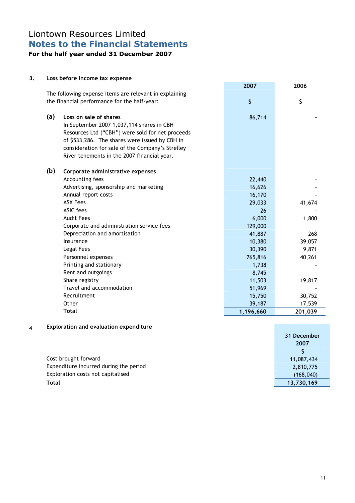## Liontown Resources Limited Notes to the Financial Statements For the half year ended 31 December 2007

### 3. Loss before income tax expense

|     |                                                        | 2007      | 2006    |
|-----|--------------------------------------------------------|-----------|---------|
|     | The following expense items are relevant in explaining |           |         |
|     | the financial performance for the half-year:           | $\zeta$   | \$      |
| (a) | Loss on sale of shares                                 | 86,714    |         |
|     | In September 2007 1,037,114 shares in CBH              |           |         |
|     | Resources Ltd ("CBH") were sold for net proceeds       |           |         |
|     | of \$533,286. The shares were issued by CBH in         |           |         |
|     | consideration for sale of the Company's Strelley       |           |         |
|     | River tenements in the 2007 financial year.            |           |         |
| (b) | Corporate administrative expenses                      |           |         |
|     | Accounting fees                                        | 22,440    |         |
|     | Advertising, sponsorship and marketing                 | 16,626    |         |
|     | Annual report costs                                    | 16,170    |         |
|     | <b>ASX Fees</b>                                        | 29,033    | 41,674  |
|     | <b>ASIC</b> fees                                       | 26        |         |
|     | <b>Audit Fees</b>                                      | 6,000     | 1,800   |
|     | Corporate and administration service fees              | 129,000   |         |
|     | Depreciation and amortisation                          | 41,887    | 268     |
|     | Insurance                                              | 10,380    | 39,057  |
|     | Legal Fees                                             | 30,390    | 9,871   |
|     | Personnel expenses                                     | 765,816   | 40,261  |
|     | Printing and stationary                                | 1,738     |         |
|     | Rent and outgoings                                     | 8,745     |         |
|     | Share registry                                         | 11,503    | 19,817  |
|     | Travel and accommodation                               | 51,969    |         |
|     | Recruitment                                            | 15,750    | 30,752  |
|     | Other                                                  | 39,187    | 17,539  |
|     | Total                                                  | 1,196,660 | 201,039 |

## 4 Exploration and evaluation expenditure

|                                        | 31 December |
|----------------------------------------|-------------|
|                                        | 2007        |
|                                        |             |
| Cost brought forward                   | 11,087,434  |
| Expenditure incurred during the period | 2,810,775   |
| Exploration costs not capitalised      | (168, 040)  |
| Total                                  | 13,730,169  |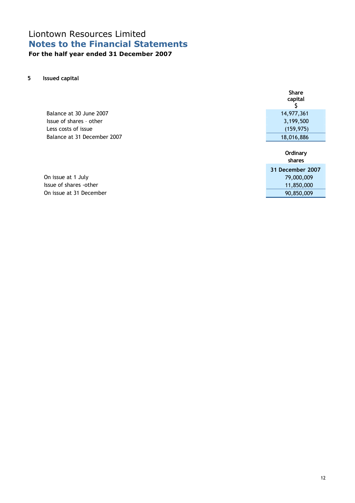# Liontown Resources Limited Notes to the Financial Statements For the half year ended 31 December 2007

5 Issued capital

|                             | <b>Share</b><br>capital |
|-----------------------------|-------------------------|
| Balance at 30 June 2007     | 14,977,361              |
| Issue of shares - other     | 3,199,500               |
| Less costs of issue         | (159, 975)              |
| Balance at 31 December 2007 | 18,016,886              |
|                             | Ordinary<br>shares      |
|                             | 31 December 2007        |
| On issue at 1 July          | 79,000,009              |
| Issue of shares -other      | 11,850,000              |
| On issue at 31 December     | 90,850,009              |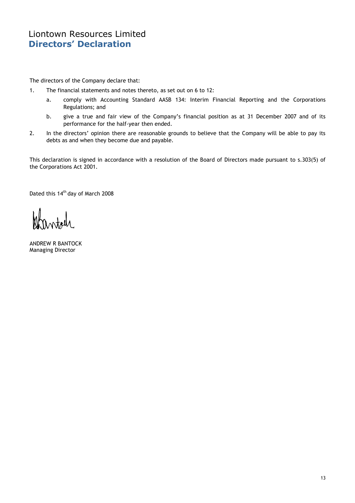# Liontown Resources Limited Directors' Declaration

The directors of the Company declare that:

- 1. The financial statements and notes thereto, as set out on 6 to 12:
	- a. comply with Accounting Standard AASB 134: Interim Financial Reporting and the Corporations Regulations; and
	- b. give a true and fair view of the Company's financial position as at 31 December 2007 and of its performance for the half-year then ended.
- 2. In the directors' opinion there are reasonable grounds to believe that the Company will be able to pay its debts as and when they become due and payable.

This declaration is signed in accordance with a resolution of the Board of Directors made pursuant to s.303(5) of the Corporations Act 2001.

Dated this 14<sup>th</sup> day of March 2008

ANDREW R BANTOCK Managing Director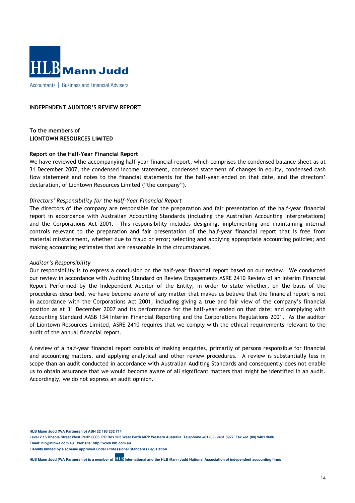

Accountants | Business and Financial Advisers

### INDEPENDENT AUDITOR'S REVIEW REPORT

To the members of LIONTOWN RESOURCES LIMITED

#### Report on the Half-Year Financial Report

We have reviewed the accompanying half-year financial report, which comprises the condensed balance sheet as at 31 December 2007, the condensed income statement, condensed statement of changes in equity, condensed cash flow statement and notes to the financial statements for the half-year ended on that date, and the directors' declaration, of Liontown Resources Limited ("the company").

### Directors' Responsibility for the Half-Year Financial Report

The directors of the company are responsible for the preparation and fair presentation of the half-year financial report in accordance with Australian Accounting Standards (including the Australian Accounting Interpretations) and the Corporations Act 2001. This responsibility includes designing, implementing and maintaining internal controls relevant to the preparation and fair presentation of the half-year financial report that is free from material misstatement, whether due to fraud or error; selecting and applying appropriate accounting policies; and making accounting estimates that are reasonable in the circumstances.

#### Auditor's Responsibility

Our responsibility is to express a conclusion on the half-year financial report based on our review. We conducted our review in accordance with Auditing Standard on Review Engagements ASRE 2410 Review of an Interim Financial Report Performed by the Independent Auditor of the Entity, in order to state whether, on the basis of the procedures described, we have become aware of any matter that makes us believe that the financial report is not in accordance with the Corporations Act 2001, including giving a true and fair view of the company's financial position as at 31 December 2007 and its performance for the half-year ended on that date; and complying with Accounting Standard AASB 134 Interim Financial Reporting and the Corporations Regulations 2001. As the auditor of Liontown Resources Limited, ASRE 2410 requires that we comply with the ethical requirements relevant to the audit of the annual financial report.

A review of a half-year financial report consists of making enquiries, primarily of persons responsible for financial and accounting matters, and applying analytical and other review procedures. A review is substantially less in scope than an audit conducted in accordance with Australian Auditing Standards and consequently does not enable us to obtain assurance that we would become aware of all significant matters that might be identified in an audit. Accordingly, we do not express an audit opinion.

**HLB Mann Judd (WA Partnership) ABN 22 193 232 714** 

**Level 2 15 Rheola Street West Perth 6005 PO Box 263 West Perth 6872 Western Australia. Telephone +61 (08) 9481 0977. Fax +61 (08) 9481 3686. Email: hlb@hlbwa.com.au. Website: http://www.hlb.com.au** 

**Liability limited by a scheme approved under Professional Standards Legislation** 

**HLB Mann Judd (WA Partnership) is a member of <b>HLB** International and the HLB Mann Judd National Association of independent accounting firms